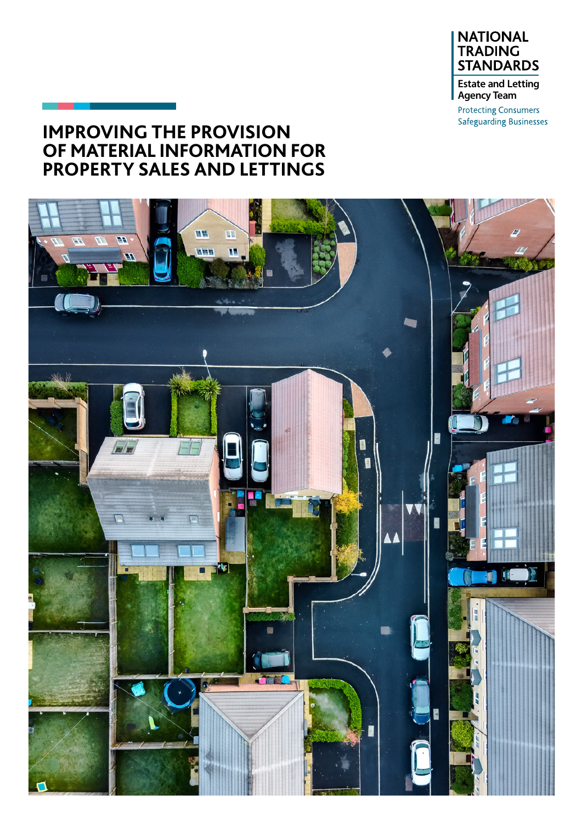

**Protecting Consumers Safeguarding Businesses** 

### **IMPROVING THE PROVISION OF MATERIAL INFORMATION FOR PROPERTY SALES AND LETTINGS**

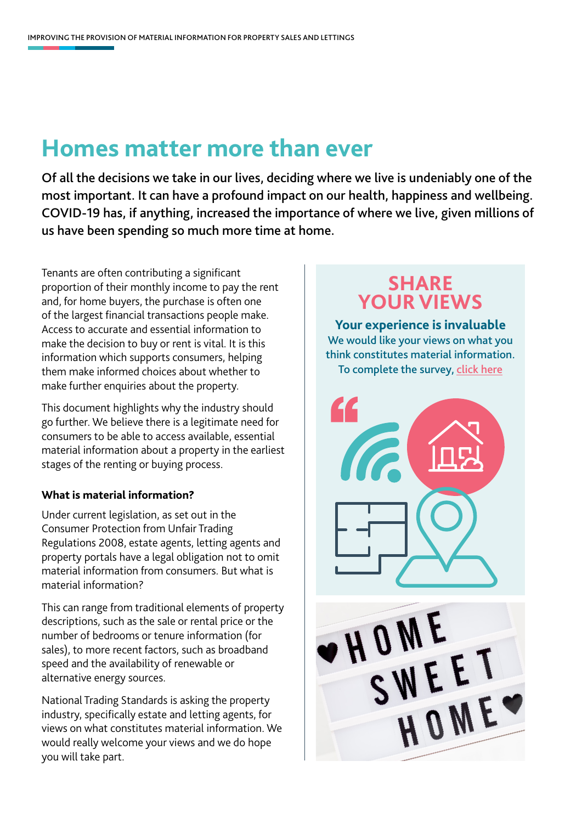## **Homes matter more than ever**

Of all the decisions we take in our lives, deciding where we live is undeniably one of the most important. It can have a profound impact on our health, happiness and wellbeing. COVID-19 has, if anything, increased the importance of where we live, given millions of us have been spending so much more time at home.

Tenants are often contributing a significant proportion of their monthly income to pay the rent and, for home buyers, the purchase is often one of the largest financial transactions people make. Access to accurate and essential information to make the decision to buy or rent is vital. It is this information which supports consumers, helping them make informed choices about whether to make further enquiries about the property.

This document highlights why the industry should go further. We believe there is a legitimate need for consumers to be able to access available, essential material information about a property in the earliest stages of the renting or buying process.

#### **What is material information?**

Under current legislation, as set out in the Consumer Protection from Unfair Trading Regulations 2008, estate agents, letting agents and property portals have a legal obligation not to omit material information from consumers. But what is material information?

This can range from traditional elements of property descriptions, such as the sale or rental price or the number of bedrooms or tenure information (for sales), to more recent factors, such as broadband speed and the availability of renewable or alternative energy sources.

National Trading Standards is asking the property industry, specifically estate and letting agents, for views on what constitutes material information. We would really welcome your views and we do hope you will take part.

## **SHARE YOUR VIEWS**

**Your experience is invaluable** We would like your views on what you think constitutes material information. To complete the survey, [click here](https://www.surveymonkey.co.uk/r/NTSELATIS)



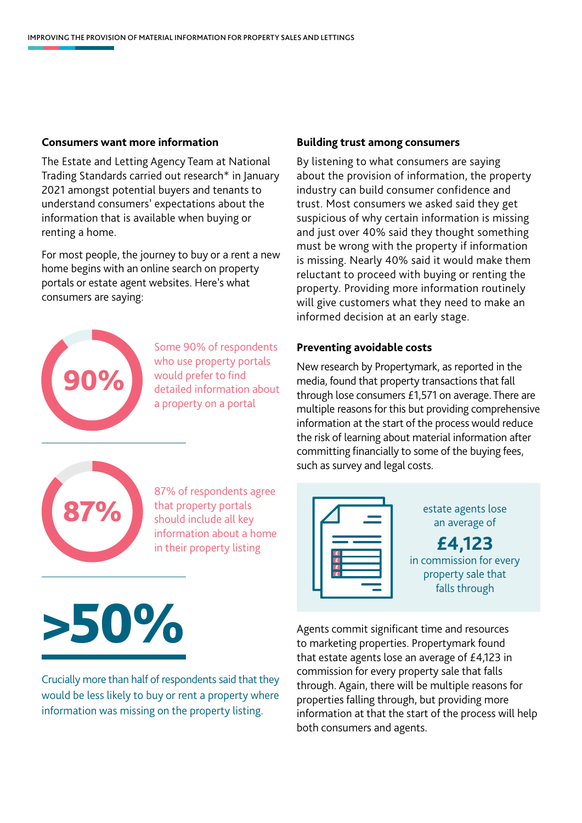#### **Consumers want more information**

The Estate and Letting Agency Team at National Trading Standards carried out research\* in January 2021 amongst potential buyers and tenants to understand consumers' expectations about the information that is available when buying or renting a home.

For most people, the journey to buy or a rent a new home begins with an online search on property portals or estate agent websites. Here's what consumers are saying:



Some 90% of respondents who use property portals would prefer to find detailed information about a property on a portal

#### **Building trust among consumers**

By listening to what consumers are saying about the provision of information, the property industry can build consumer confidence and trust. Most consumers we asked said they get suspicious of why certain information is missing and just over 40% said they thought something must be wrong with the property if information is missing. Nearly 40% said it would make them reluctant to proceed with buying or renting the property. Providing more information routinely will give customers what they need to make an informed decision at an early stage.

#### **Preventing avoidable costs**

New research by Propertymark, as reported in the media, found that property transactions that fall through lose consumers £1,571 on average. There are multiple reasons for this but providing comprehensive information at the start of the process would reduce the risk of learning about material information after committing financially to some of the buying fees, such as survey and legal costs.

an average of

**£4,123** in commission for every property sale that falls through



87% of respondents agree that property portals should include all key information about a home in their property listing 87% that property portals should include all key an average of

# >50%

Crucially more than half of respondents said that they would be less likely to buy or rent a property where information was missing on the property listing.

Agents commit significant time and resources to marketing properties. Propertymark found that estate agents lose an average of £4,123 in commission for every property sale that falls through. Again, there will be multiple reasons for properties falling through, but providing more information at that the start of the process will help both consumers and agents.